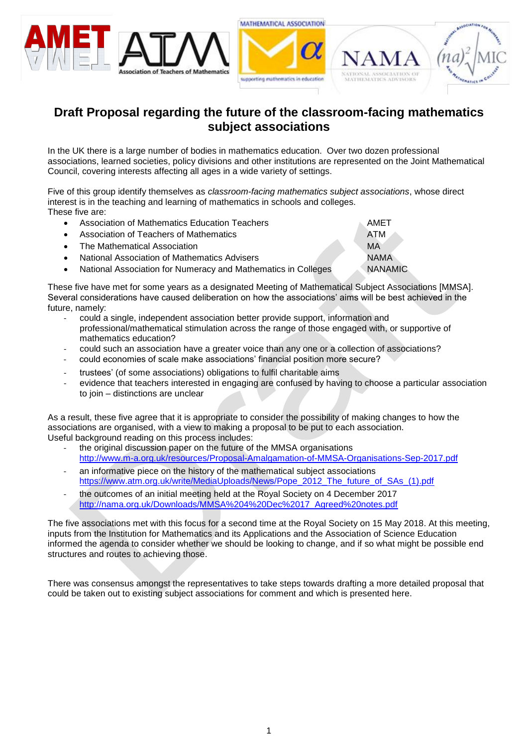



# **Draft Proposal regarding the future of the classroom-facing mathematics subject associations**

In the UK there is a large number of bodies in mathematics education. Over two dozen professional associations, learned societies, policy divisions and other institutions are represented on the Joint Mathematical Council, covering interests affecting all ages in a wide variety of settings.

Five of this group identify themselves as *classroom-facing mathematics subject associations*, whose direct interest is in the teaching and learning of mathematics in schools and colleges. These five are:

| $\bullet$ | Association of Mathematics Education Teachers                 | AMET           |
|-----------|---------------------------------------------------------------|----------------|
| $\bullet$ | Association of Teachers of Mathematics                        | <b>ATM</b>     |
|           | • The Mathematical Association                                | <b>MA</b>      |
| $\bullet$ | National Association of Mathematics Advisers                  | <b>NAMA</b>    |
|           | National Association for Numeracy and Mathematics in Colleges | <b>NANAMIC</b> |

These five have met for some years as a designated Meeting of Mathematical Subject Associations [MMSA]. Several considerations have caused deliberation on how the associations' aims will be best achieved in the future, namely:

- could a single, independent association better provide support, information and professional/mathematical stimulation across the range of those engaged with, or supportive of mathematics education?
- could such an association have a greater voice than any one or a collection of associations?
- could economies of scale make associations' financial position more secure?
- trustees' (of some associations) obligations to fulfil charitable aims
- evidence that teachers interested in engaging are confused by having to choose a particular association to join – distinctions are unclear

As a result, these five agree that it is appropriate to consider the possibility of making changes to how the associations are organised, with a view to making a proposal to be put to each association. Useful background reading on this process includes:

- the original discussion paper on the future of the MMSA organisations <http://www.m-a.org.uk/resources/Proposal-Amalgamation-of-MMSA-Organisations-Sep-2017.pdf>
- an informative piece on the history of the mathematical subject associations [https://www.atm.org.uk/write/MediaUploads/News/Pope\\_2012\\_The\\_future\\_of\\_SAs\\_\(1\).pdf](https://www.atm.org.uk/write/MediaUploads/News/Pope_2012_The_future_of_SAs_(1).pdf)
- the outcomes of an initial meeting held at the Royal Society on 4 December 2017 [http://nama.org.uk/Downloads/MMSA%204%20Dec%2017\\_Agreed%20notes.pdf](http://nama.org.uk/Downloads/MMSA%204%20Dec%2017_Agreed%20notes.pdf)

The five associations met with this focus for a second time at the Royal Society on 15 May 2018. At this meeting, inputs from the Institution for Mathematics and its Applications and the Association of Science Education informed the agenda to consider whether we should be looking to change, and if so what might be possible end structures and routes to achieving those.

There was consensus amongst the representatives to take steps towards drafting a more detailed proposal that could be taken out to existing subject associations for comment and which is presented here.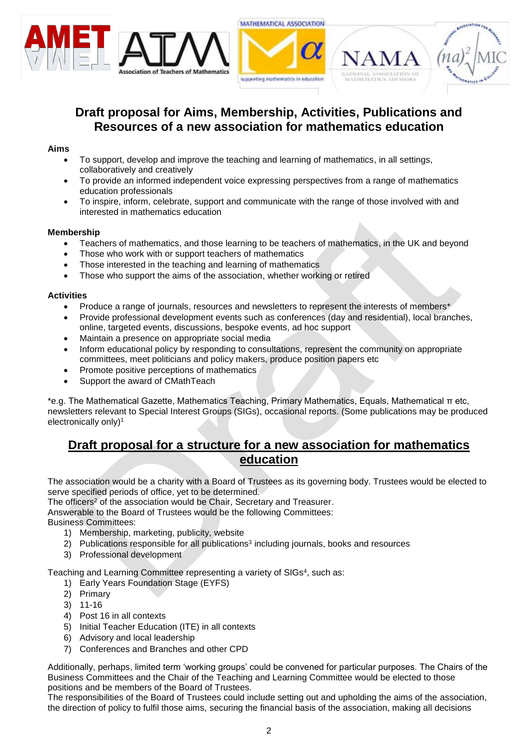



# **Draft proposal for Aims, Membership, Activities, Publications and Resources of a new association for mathematics education**

### **Aims**

- To support, develop and improve the teaching and learning of mathematics, in all settings, collaboratively and creatively
- To provide an informed independent voice expressing perspectives from a range of mathematics education professionals
- To inspire, inform, celebrate, support and communicate with the range of those involved with and interested in mathematics education

### **Membership**

- Teachers of mathematics, and those learning to be teachers of mathematics, in the UK and beyond
- Those who work with or support teachers of mathematics
- Those interested in the teaching and learning of mathematics
- Those who support the aims of the association, whether working or retired

#### **Activities**

- Produce a range of journals, resources and newsletters to represent the interests of members\*
- Provide professional development events such as conferences (day and residential), local branches, online, targeted events, discussions, bespoke events, ad hoc support
- Maintain a presence on appropriate social media
- Inform educational policy by responding to consultations, represent the community on appropriate committees, meet politicians and policy makers, produce position papers etc
- Promote positive perceptions of mathematics
- Support the award of CMathTeach

\*e.g. The Mathematical Gazette, Mathematics Teaching, Primary Mathematics, Equals, Mathematical π etc, newsletters relevant to Special Interest Groups (SIGs), occasional reports. (Some publications may be produced electronically only) 1

### **Draft proposal for a structure for a new association for mathematics education**

The association would be a charity with a Board of Trustees as its governing body. Trustees would be elected to serve specified periods of office, yet to be determined.

The officers<sup>2</sup> of the association would be Chair, Secretary and Treasurer.

Answerable to the Board of Trustees would be the following Committees:

Business Committees:

- 1) Membership, marketing, publicity, website
- 2) Publications responsible for all publications<sup>3</sup> including journals, books and resources
- 3) Professional development

Teaching and Learning Committee representing a variety of SIGs<sup>4</sup>, such as:

- 1) Early Years Foundation Stage (EYFS)
- 2) Primary
- 3) 11-16
- 4) Post 16 in all contexts
- 5) Initial Teacher Education (ITE) in all contexts
- 6) Advisory and local leadership
- 7) Conferences and Branches and other CPD

Additionally, perhaps, limited term 'working groups' could be convened for particular purposes. The Chairs of the Business Committees and the Chair of the Teaching and Learning Committee would be elected to those positions and be members of the Board of Trustees.

The responsibilities of the Board of Trustees could include setting out and upholding the aims of the association, the direction of policy to fulfil those aims, securing the financial basis of the association, making all decisions